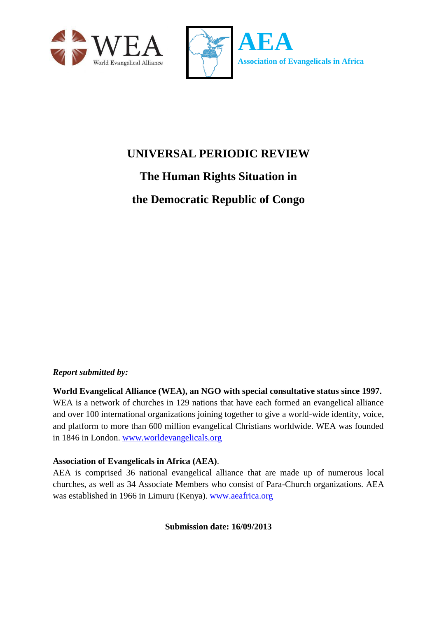



# **UNIVERSAL PERIODIC REVIEW**

**The Human Rights Situation in the Democratic Republic of Congo**

#### *Report submitted by:*

**World Evangelical Alliance (WEA), an NGO with special consultative status since 1997.**  WEA is a network of churches in 129 nations that have each formed an evangelical alliance and over 100 international organizations joining together to give a world-wide identity, voice, and platform to more than 600 million evangelical Christians worldwide. WEA was founded in 1846 in London. [www.worldevangelicals.org](http://www.worldevangelicals.org/)

#### **Association of Evangelicals in Africa (AEA)**.

AEA is comprised 36 national evangelical alliance that are made up of numerous local churches, as well as 34 Associate Members who consist of Para-Church organizations. AEA was established in 1966 in Limuru (Kenya). [www.aeafrica.org](http://www.aeafrica.org/)

**Submission date: 16/09/2013**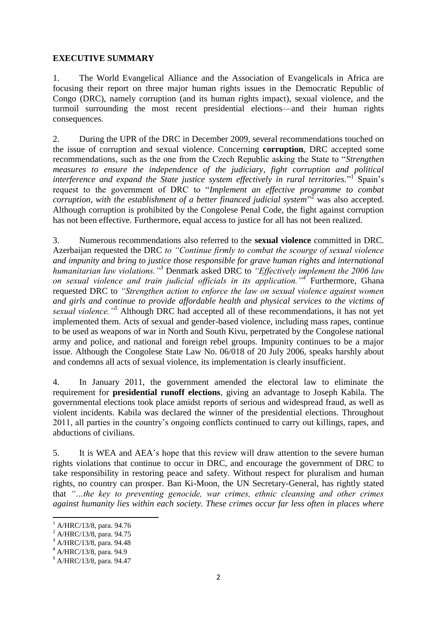#### **EXECUTIVE SUMMARY**

1. The World Evangelical Alliance and the Association of Evangelicals in Africa are focusing their report on three major human rights issues in the Democratic Republic of Congo (DRC), namely corruption (and its human rights impact), sexual violence, and the turmoil surrounding the most recent presidential elections—and their human rights consequences.

2. During the UPR of the DRC in December 2009, several recommendations touched on the issue of corruption and sexual violence. Concerning **corruption**, DRC accepted some recommendations, such as the one from the Czech Republic asking the State to "*Strengthen measures to ensure the independence of the judiciary, fight corruption and political* interference and expand the State justice system effectively in rural territories."<sup>I</sup> Spain's request to the government of DRC to "*Implement an effective programme to combat corruption, with the establishment of a better financed judicial system*" <sup>2</sup> was also accepted. Although corruption is prohibited by the Congolese Penal Code, the fight against corruption has not been effective. Furthermore, equal access to justice for all has not been realized.

3. Numerous recommendations also referred to the **sexual violence** committed in DRC. Azerbaijan requested the DRC *to "Continue firmly to combat the scourge of sexual violence and impunity and bring to justice those responsible for grave human rights and international humanitarian law violations."<sup>3</sup>* Denmark asked DRC to *"Effectively implement the 2006 law on sexual violence and train judicial officials in its application."<sup>4</sup>* Furthermore, Ghana requested DRC to *"Strengthen action to enforce the law on sexual violence against women and girls and continue to provide affordable health and physical services to the victims of sexual violence."<sup>5</sup>* Although DRC had accepted all of these recommendations, it has not yet implemented them. Acts of sexual and gender-based violence, including mass rapes, continue to be used as weapons of war in North and South Kivu, perpetrated by the Congolese national army and police, and national and foreign rebel groups. Impunity continues to be a major issue. Although the Congolese State Law No. 06/018 of 20 July 2006, speaks harshly about and condemns all acts of sexual violence, its implementation is clearly insufficient.

4. In January 2011, the government amended the electoral law to eliminate the requirement for **presidential runoff elections**, giving an advantage to Joseph Kabila. The governmental elections took place amidst reports of serious and widespread fraud, as well as violent incidents. Kabila was declared the winner of the presidential elections. Throughout 2011, all parties in the country's ongoing conflicts continued to carry out killings, rapes, and abductions of civilians.

5. It is WEA and AEA's hope that this review will draw attention to the severe human rights violations that continue to occur in DRC, and encourage the government of DRC to take responsibility in restoring peace and safety. Without respect for pluralism and human rights, no country can prosper. Ban Ki-Moon, the UN Secretary-General, has rightly stated that *"…the key to preventing genocide, war crimes, ethnic cleansing and other crimes against humanity lies within each society. These crimes occur far less often in places where* 

1

<sup>1</sup> A/HRC/13/8, para. 94.76

<sup>2</sup> A/HRC/13/8, para. 94.75

<sup>3</sup> A/HRC/13/8, para. 94.48

<sup>4</sup> A/HRC/13/8, para. 94.9

<sup>5</sup> A/HRC/13/8, para. 94.47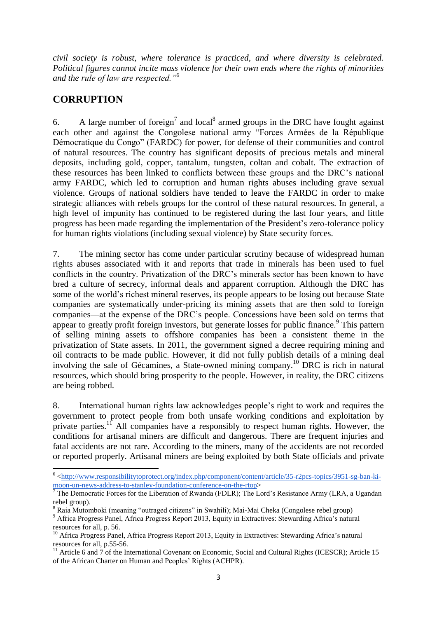*civil society is robust, where tolerance is practiced, and where diversity is celebrated. Political figures cannot incite mass violence for their own ends where the rights of minorities and the rule of law are respected."*<sup>6</sup>

### **CORRUPTION**

6. A large number of foreign<sup>7</sup> and local<sup>8</sup> armed groups in the DRC have fought against each other and against the Congolese national army "Forces Armées de la République Démocratique du Congo" (FARDC) for power, for defense of their communities and control of natural resources. The country has significant deposits of precious metals and mineral deposits, including gold, copper, tantalum, tungsten, coltan and cobalt. The extraction of these resources has been linked to conflicts between these groups and the DRC's national army FARDC, which led to corruption and human rights abuses including grave sexual violence. Groups of national soldiers have tended to leave the FARDC in order to make strategic alliances with rebels groups for the control of these natural resources. In general, a high level of impunity has continued to be registered during the last four years, and little progress has been made regarding the implementation of the President's zero-tolerance policy for human rights violations (including sexual violence) by State security forces.

7. The mining sector has come under particular scrutiny because of widespread human rights abuses associated with it and reports that trade in minerals has been used to fuel conflicts in the country. Privatization of the DRC's minerals sector has been known to have bred a culture of secrecy, informal deals and apparent corruption. Although the DRC has some of the world's richest mineral reserves, its people appears to be losing out because State companies are systematically under-pricing its mining assets that are then sold to foreign companies—at the expense of the DRC's people. Concessions have been sold on terms that appear to greatly profit foreign investors, but generate losses for public finance.<sup>9</sup> This pattern of selling mining assets to offshore companies has been a consistent theme in the privatization of State assets. In 2011, the government signed a decree requiring mining and oil contracts to be made public. However, it did not fully publish details of a mining deal involving the sale of Gécamines, a State-owned mining company. <sup>10</sup> DRC is rich in natural resources, which should bring prosperity to the people. However, in reality, the DRC citizens are being robbed.

8. International human rights law acknowledges people's right to work and requires the government to protect people from both unsafe working conditions and exploitation by private parties.<sup>11</sup> All companies have a responsibly to respect human rights. However, the conditions for artisanal miners are difficult and dangerous. There are frequent injuries and fatal accidents are not rare. According to the miners, many of the accidents are not recorded or reported properly. Artisanal miners are being exploited by both State officials and private

<sup>&</sup>lt;sup>6</sup> [<http://www.responsibilitytoprotect.org/index.php/component/content/article/35-r2pcs-topics/3951-sg-ban-ki](http://www.responsibilitytoprotect.org/index.php/component/content/article/35-r2pcs-topics/3951-sg-ban-ki-moon-un-news-address-to-stanley-foundation-conference-on-the-rtop)[moon-un-news-address-to-stanley-foundation-conference-on-the-rtop>](http://www.responsibilitytoprotect.org/index.php/component/content/article/35-r2pcs-topics/3951-sg-ban-ki-moon-un-news-address-to-stanley-foundation-conference-on-the-rtop)

<sup>7</sup> The Democratic Forces for the Liberation of Rwanda (FDLR); The Lord's Resistance Army (LRA, a Ugandan rebel group).

<sup>&</sup>lt;sup>8</sup> Raia Mutomboki (meaning "outraged citizens" in Swahili); Mai-Mai Cheka (Congolese rebel group)

<sup>&</sup>lt;sup>9</sup> Africa Progress Panel, Africa Progress Report 2013, Equity in Extractives: Stewarding Africa's natural resources for all, p. 56.

<sup>&</sup>lt;sup>10</sup> Africa Progress Panel, Africa Progress Report 2013, Equity in Extractives: Stewarding Africa's natural resources for all, p.55-56.

<sup>&</sup>lt;sup>11</sup> Article 6 and 7 of the International Covenant on Economic, Social and Cultural Rights (ICESCR); Article 15 of the African Charter on Human and Peoples' Rights (ACHPR).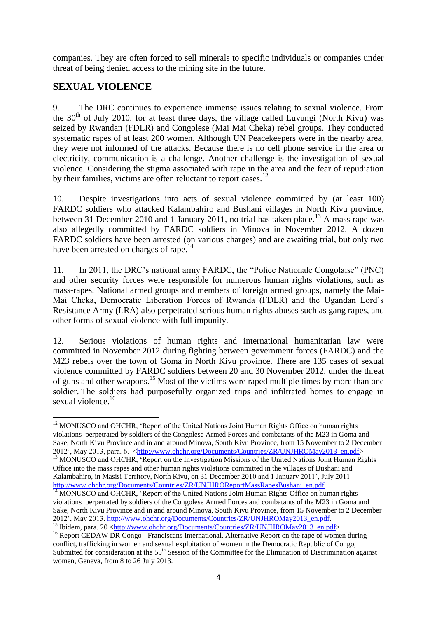companies. They are often forced to sell minerals to specific individuals or companies under threat of being denied access to the mining site in the future.

## **SEXUAL VIOLENCE**

9. The DRC continues to experience immense issues relating to sexual violence. From the  $30<sup>th</sup>$  of July 2010, for at least three days, the village called Luvungi (North Kivu) was seized by Rwandan (FDLR) and Congolese (Mai Mai Cheka) rebel groups. They conducted systematic rapes of at least 200 women. Although UN Peacekeepers were in the nearby area, they were not informed of the attacks. Because there is no cell phone service in the area or electricity, communication is a challenge. Another challenge is the investigation of sexual violence. Considering the stigma associated with rape in the area and the fear of repudiation by their families, victims are often reluctant to report cases.<sup>12</sup>

10. Despite investigations into acts of sexual violence committed by (at least 100) FARDC soldiers who attacked Kalambahiro and Bushani villages in North Kivu province, between 31 December 2010 and 1 January 2011, no trial has taken place.<sup>13</sup> A mass rape was also allegedly committed by FARDC soldiers in Minova in November 2012. A dozen FARDC soldiers have been arrested (on various charges) and are awaiting trial, but only two have been arrested on charges of rape.<sup>14</sup>

11. In 2011, the DRC's national army FARDC, the "Police Nationale Congolaise" (PNC) and other security forces were responsible for numerous human rights violations, such as mass-rapes. National armed groups and members of foreign armed groups, namely the Mai-Mai Cheka, Democratic Liberation Forces of Rwanda (FDLR) and the Ugandan Lord's Resistance Army (LRA) also perpetrated serious human rights abuses such as gang rapes, and other forms of sexual violence with full impunity.

12. Serious violations of human rights and international humanitarian law were committed in November 2012 during fighting between government forces (FARDC) and the M23 rebels over the town of Goma in North Kivu province. There are 135 cases of sexual violence committed by FARDC soldiers between 20 and 30 November 2012, under the threat of guns and other weapons.<sup>15</sup> Most of the victims were raped multiple times by more than one soldier. The soldiers had purposefully organized trips and infiltrated homes to engage in sexual violence.<sup>16</sup>

<sup>1</sup> <sup>12</sup> MONUSCO and OHCHR, 'Report of the United Nations Joint Human Rights Office on human rights violations perpetrated by soldiers of the Congolese Armed Forces and combatants of the M23 in Goma and Sake, North Kivu Province and in and around Minova, South Kivu Province, from 15 November to 2 December 2012', May 2013, para. 6. [<http://www.ohchr.org/Documents/Countries/ZR/UNJHROMay2013\\_en.pdf>](http://www.ohchr.org/Documents/Countries/ZR/UNJHROMay2013_en.pdf) <sup>13</sup> MONUSCO and OHCHR, 'Report on the Investigation Missions of the United Nations Joint Human Rights Office into the mass rapes and other human rights violations committed in the villages of Bushani and Kalambahiro, in Masisi Territory, North Kivu, on 31 December 2010 and 1 January 2011', July 2011. [http://www.ohchr.org/Documents/Countries/ZR/UNJHROReportMassRapesBushani\\_en.pdf](http://www.ohchr.org/Documents/Countries/ZR/UNJHROReportMassRapesBushani_en.pdf)

<sup>&</sup>lt;sup>14</sup> MONUSCO and OHCHR, 'Report of the United Nations Joint Human Rights Office on human rights violations perpetrated by soldiers of the Congolese Armed Forces and combatants of the M23 in Goma and Sake, North Kivu Province and in and around Minova, South Kivu Province, from 15 November to 2 December 2012', May 2013. [http://www.ohchr.org/Documents/Countries/ZR/UNJHROMay2013\\_en.pdf.](http://www.ohchr.org/Documents/Countries/ZR/UNJHROMay2013_en.pdf)

<sup>&</sup>lt;sup>15</sup> Ibidem, para. 20 [<http://www.ohchr.org/Documents/Countries/ZR/UNJHROMay2013\\_en.pdf>](http://www.ohchr.org/Documents/Countries/ZR/UNJHROMay2013_en.pdf)

<sup>&</sup>lt;sup>16</sup> Report CEDAW DR Congo - Franciscans International, Alternative Report on the rape of women during conflict, trafficking in women and sexual exploitation of women in the Democratic Republic of Congo, Submitted for consideration at the 55<sup>th</sup> Session of the Committee for the Elimination of Discrimination against women, Geneva, from 8 to 26 July 2013.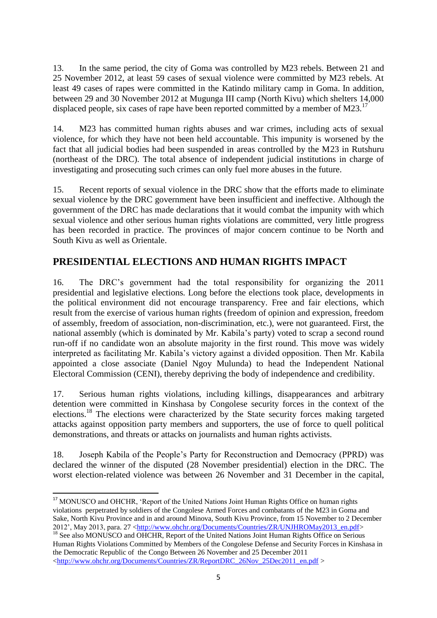13. In the same period, the city of Goma was controlled by M23 rebels. Between 21 and 25 November 2012, at least 59 cases of sexual violence were committed by M23 rebels. At least 49 cases of rapes were committed in the Katindo military camp in Goma. In addition, between 29 and 30 November 2012 at Mugunga III camp (North Kivu) which shelters 14,000 displaced people, six cases of rape have been reported committed by a member of M23.<sup>17</sup>

14. M23 has committed human rights abuses and war crimes, including acts of sexual violence, for which they have not been held accountable. This impunity is worsened by the fact that all judicial bodies had been suspended in areas controlled by the M23 in Rutshuru (northeast of the DRC). The total absence of independent judicial institutions in charge of investigating and prosecuting such crimes can only fuel more abuses in the future.

15. Recent reports of sexual violence in the DRC show that the efforts made to eliminate sexual violence by the DRC government have been insufficient and ineffective. Although the government of the DRC has made declarations that it would combat the impunity with which sexual violence and other serious human rights violations are committed, very little progress has been recorded in practice. The provinces of major concern continue to be North and South Kivu as well as Orientale.

# **PRESIDENTIAL ELECTIONS AND HUMAN RIGHTS IMPACT**

16. The DRC's government had the total responsibility for organizing the 2011 presidential and legislative elections. Long before the elections took place, developments in the political environment did not encourage transparency. Free and fair elections, which result from the exercise of various human rights (freedom of opinion and expression, freedom of assembly, freedom of association, non-discrimination, etc.), were not guaranteed. First, the national assembly (which is dominated by Mr. Kabila's party) voted to scrap a second round run-off if no candidate won an absolute majority in the first round. This move was widely interpreted as facilitating Mr. Kabila's victory against a divided opposition. Then Mr. Kabila appointed a close associate (Daniel Ngoy Mulunda) to head the Independent National Electoral Commission (CENI), thereby depriving the body of independence and credibility.

17. Serious human rights violations, including killings, disappearances and arbitrary detention were committed in Kinshasa by Congolese security forces in the context of the elections.<sup>18</sup> The elections were characterized by the State security forces making targeted attacks against opposition party members and supporters, the use of force to quell political demonstrations, and threats or attacks on journalists and human rights activists.

18. Joseph Kabila of the People's Party for Reconstruction and Democracy (PPRD) was declared the winner of the disputed (28 November presidential) election in the DRC. The worst election-related violence was between 26 November and 31 December in the capital,

<sup>18</sup> See also MONUSCO and OHCHR, Report of the United Nations Joint Human Rights Office on Serious Human Rights Violations Committed by Members of the Congolese Defense and Security Forces in Kinshasa in the Democratic Republic of the Congo Between 26 November and 25 December 2011 [<http://www.ohchr.org/Documents/Countries/ZR/ReportDRC\\_26Nov\\_25Dec2011\\_en.pdf](http://www.ohchr.org/Documents/Countries/ZR/ReportDRC_26Nov_25Dec2011_en.pdf) >

<sup>1</sup> <sup>17</sup> MONUSCO and OHCHR, 'Report of the United Nations Joint Human Rights Office on human rights violations perpetrated by soldiers of the Congolese Armed Forces and combatants of the M23 in Goma and Sake, North Kivu Province and in and around Minova, South Kivu Province, from 15 November to 2 December 2012<sup>'</sup>, May 2013, para. 27 [<http://www.ohchr.org/Documents/Countries/ZR/UNJHROMay2013\\_en.pdf>](http://www.ohchr.org/Documents/Countries/ZR/UNJHROMay2013_en.pdf)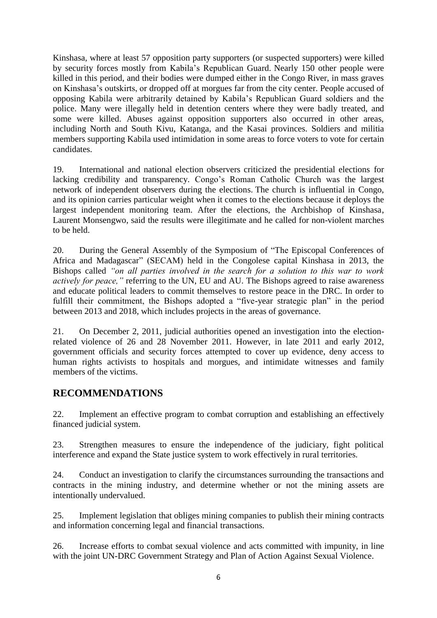Kinshasa, where at least 57 opposition party supporters (or suspected supporters) were killed by security forces mostly from Kabila's Republican Guard. Nearly 150 other people were killed in this period, and their bodies were dumped either in the Congo River, in mass graves on Kinshasa's outskirts, or dropped off at morgues far from the city center. People accused of opposing Kabila were arbitrarily detained by Kabila's Republican Guard soldiers and the police. Many were illegally held in detention centers where they were badly treated, and some were killed. Abuses against opposition supporters also occurred in other areas, including North and South Kivu, Katanga, and the Kasai provinces. Soldiers and militia members supporting Kabila used intimidation in some areas to force voters to vote for certain candidates.

19. International and national election observers criticized the presidential elections for lacking credibility and transparency. Congo's Roman Catholic Church was the largest network of independent observers during the elections. The church is influential in Congo, and its opinion carries particular weight when it comes to the elections because it deploys the largest independent monitoring team. After the elections, the Archbishop of Kinshasa, Laurent Monsengwo, said the results were illegitimate and he called for non-violent marches to be held.

20. During the General Assembly of the Symposium of "The Episcopal Conferences of Africa and Madagascar" (SECAM) held in the Congolese capital Kinshasa in 2013, the Bishops called *"on all parties involved in the search for a solution to this war to work actively for peace,"* referring to the UN, EU and AU. The Bishops agreed to raise awareness and educate political leaders to commit themselves to restore peace in the DRC. In order to fulfill their commitment, the Bishops adopted a "five-year strategic plan" in the period between 2013 and 2018, which includes projects in the areas of governance.

21. On December 2, 2011, judicial authorities opened an investigation into the electionrelated violence of 26 and 28 November 2011. However, in late 2011 and early 2012, government officials and security forces attempted to cover up evidence, deny access to human rights activists to hospitals and morgues, and intimidate witnesses and family members of the victims.

### **RECOMMENDATIONS**

22. Implement an effective program to combat corruption and establishing an effectively financed judicial system.

23. Strengthen measures to ensure the independence of the judiciary, fight political interference and expand the State justice system to work effectively in rural territories.

24. Conduct an investigation to clarify the circumstances surrounding the transactions and contracts in the mining industry, and determine whether or not the mining assets are intentionally undervalued.

25. Implement legislation that obliges mining companies to publish their mining contracts and information concerning legal and financial transactions.

26. Increase efforts to combat sexual violence and acts committed with impunity, in line with the joint UN-DRC Government Strategy and Plan of Action Against Sexual Violence.